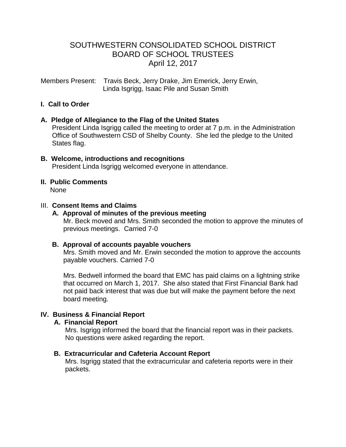## SOUTHWESTERN CONSOLIDATED SCHOOL DISTRICT BOARD OF SCHOOL TRUSTEES April 12, 2017

Members Present: Travis Beck, Jerry Drake, Jim Emerick, Jerry Erwin, Linda Isgrigg, Isaac Pile and Susan Smith

## **I. Call to Order**

## **A. Pledge of Allegiance to the Flag of the United States**

 President Linda Isgrigg called the meeting to order at 7 p.m. in the Administration Office of Southwestern CSD of Shelby County. She led the pledge to the United States flag.

**B. Welcome, introductions and recognitions** President Linda Isgrigg welcomed everyone in attendance.

# **II. Public Comments**

None

## III. **Consent Items and Claims**

## **A. Approval of minutes of the previous meeting**

Mr. Beck moved and Mrs. Smith seconded the motion to approve the minutes of previous meetings. Carried 7-0

## **B. Approval of accounts payable vouchers**

 Mrs. Smith moved and Mr. Erwin seconded the motion to approve the accounts payable vouchers. Carried 7-0

 Mrs. Bedwell informed the board that EMC has paid claims on a lightning strike that occurred on March 1, 2017. She also stated that First Financial Bank had not paid back interest that was due but will make the payment before the next board meeting.

## **IV. Business & Financial Report**

## **A. Financial Report**

 Mrs. Isgrigg informed the board that the financial report was in their packets. No questions were asked regarding the report.

## **B. Extracurricular and Cafeteria Account Report**

Mrs. Isgrigg stated that the extracurricular and cafeteria reports were in their packets.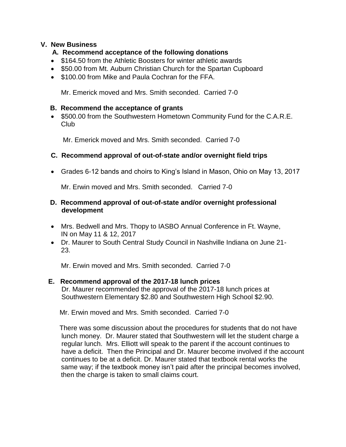## **V. New Business**

## **A. Recommend acceptance of the following donations**

- \$164.50 from the Athletic Boosters for winter athletic awards
- \$50.00 from Mt. Auburn Christian Church for the Spartan Cupboard
- \$100.00 from Mike and Paula Cochran for the FFA.

Mr. Emerick moved and Mrs. Smith seconded. Carried 7-0

## **B. Recommend the acceptance of grants**

• \$500.00 from the Southwestern Hometown Community Fund for the C.A.R.E. Club

Mr. Emerick moved and Mrs. Smith seconded. Carried 7-0

## **C. Recommend approval of out-of-state and/or overnight field trips**

Grades 6-12 bands and choirs to King's Island in Mason, Ohio on May 13, 2017

Mr. Erwin moved and Mrs. Smith seconded. Carried 7-0

## **D. Recommend approval of out-of-state and/or overnight professional development**

- Mrs. Bedwell and Mrs. Thopy to IASBO Annual Conference in Ft. Wayne, IN on May 11 & 12, 2017
- Dr. Maurer to South Central Study Council in Nashville Indiana on June 21- 23.

Mr. Erwin moved and Mrs. Smith seconded. Carried 7-0

## **E. Recommend approval of the 2017-18 lunch prices**

Dr. Maurer recommended the approval of the 2017-18 lunch prices at Southwestern Elementary \$2.80 and Southwestern High School \$2.90.

Mr. Erwin moved and Mrs. Smith seconded. Carried 7-0

 There was some discussion about the procedures for students that do not have lunch money. Dr. Maurer stated that Southwestern will let the student charge a regular lunch. Mrs. Elliott will speak to the parent if the account continues to have a deficit. Then the Principal and Dr. Maurer become involved if the account continues to be at a deficit. Dr. Maurer stated that textbook rental works the same way; if the textbook money isn't paid after the principal becomes involved, then the charge is taken to small claims court.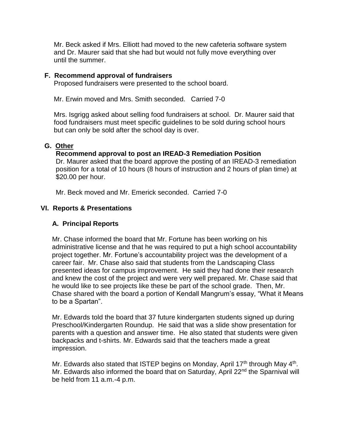Mr. Beck asked if Mrs. Elliott had moved to the new cafeteria software system and Dr. Maurer said that she had but would not fully move everything over until the summer.

#### **F. Recommend approval of fundraisers**

Proposed fundraisers were presented to the school board.

Mr. Erwin moved and Mrs. Smith seconded. Carried 7-0

Mrs. Isgrigg asked about selling food fundraisers at school. Dr. Maurer said that food fundraisers must meet specific guidelines to be sold during school hours but can only be sold after the school day is over.

#### **G. Other**

## **Recommend approval to post an IREAD-3 Remediation Position**

Dr. Maurer asked that the board approve the posting of an IREAD-3 remediation position for a total of 10 hours (8 hours of instruction and 2 hours of plan time) at \$20.00 per hour.

Mr. Beck moved and Mr. Emerick seconded. Carried 7-0

## **VI. Reports & Presentations**

## **A. Principal Reports**

Mr. Chase informed the board that Mr. Fortune has been working on his administrative license and that he was required to put a high school accountability project together. Mr. Fortune's accountability project was the development of a career fair. Mr. Chase also said that students from the Landscaping Class presented ideas for campus improvement. He said they had done their research and knew the cost of the project and were very well prepared. Mr. Chase said that he would like to see projects like these be part of the school grade. Then, Mr. Chase shared with the board a portion of Kendall Mangrum's essay, "What it Means to be a Spartan".

 Mr. Edwards told the board that 37 future kindergarten students signed up during Preschool/Kindergarten Roundup. He said that was a slide show presentation for parents with a question and answer time. He also stated that students were given backpacks and t-shirts. Mr. Edwards said that the teachers made a great impression.

Mr. Edwards also stated that ISTEP begins on Monday, April 17<sup>th</sup> through May 4<sup>th</sup>. Mr. Edwards also informed the board that on Saturday, April 22<sup>nd</sup> the Sparnival will be held from 11 a.m.-4 p.m.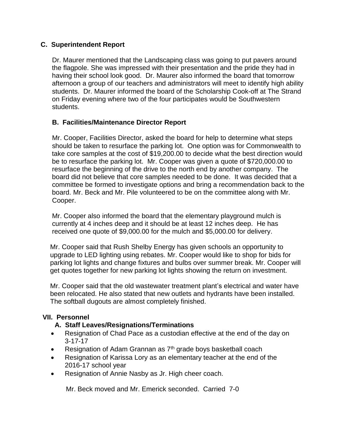## **C. Superintendent Report**

 Dr. Maurer mentioned that the Landscaping class was going to put pavers around the flagpole. She was impressed with their presentation and the pride they had in having their school look good. Dr. Maurer also informed the board that tomorrow afternoon a group of our teachers and administrators will meet to identify high ability students. Dr. Maurer informed the board of the Scholarship Cook-off at The Strand on Friday evening where two of the four participates would be Southwestern students.

## **B. Facilities/Maintenance Director Report**

Mr. Cooper, Facilities Director, asked the board for help to determine what steps should be taken to resurface the parking lot. One option was for Commonwealth to take core samples at the cost of \$19,200.00 to decide what the best direction would be to resurface the parking lot. Mr. Cooper was given a quote of \$720,000.00 to resurface the beginning of the drive to the north end by another company. The board did not believe that core samples needed to be done. It was decided that a committee be formed to investigate options and bring a recommendation back to the board. Mr. Beck and Mr. Pile volunteered to be on the committee along with Mr. Cooper.

 Mr. Cooper also informed the board that the elementary playground mulch is currently at 4 inches deep and it should be at least 12 inches deep. He has received one quote of \$9,000.00 for the mulch and \$5,000.00 for delivery.

 Mr. Cooper said that Rush Shelby Energy has given schools an opportunity to upgrade to LED lighting using rebates. Mr. Cooper would like to shop for bids for parking lot lights and change fixtures and bulbs over summer break. Mr. Cooper will get quotes together for new parking lot lights showing the return on investment.

 Mr. Cooper said that the old wastewater treatment plant's electrical and water have been relocated. He also stated that new outlets and hydrants have been installed. The softball dugouts are almost completely finished.

## **VII. Personnel**

## **A. Staff Leaves/Resignations/Terminations**

- Resignation of Chad Pace as a custodian effective at the end of the day on 3-17-17
- Resignation of Adam Grannan as  $7<sup>th</sup>$  grade boys basketball coach
- Resignation of Karissa Lory as an elementary teacher at the end of the 2016-17 school year
- Resignation of Annie Nasby as Jr. High cheer coach.

Mr. Beck moved and Mr. Emerick seconded. Carried 7-0